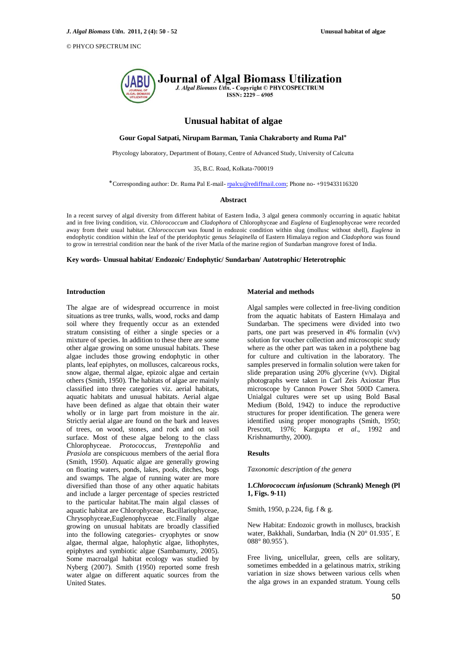© PHYCO SPECTRUM INC



# **Unusual habitat of algae**

**Gour Gopal Satpati, Nirupam Barman, Tania Chakraborty and Ruma Pal**٭

Phycology laboratory, Department of Botany, Centre of Advanced Study, University of Calcutta

35, B.C. Road, Kolkata-700019

٭Corresponding author: Dr. Ruma Pal E-mail- [rpalcu@rediffmail.com;](mailto:rpalcu@rediffmail.com) Phone no- +919433116320

# **Abstract**

In a recent survey of algal diversity from different habitat of Eastern India, 3 algal genera commonly occurring in aquatic habitat and in free living condition, viz. *Chlorococcum* and *Cladophora* of Chlorophyceae and *Euglena* of Euglenophyceae were recorded away from their usual habitat. *Chlorococcum* was found in endozoic condition within slug (mollusc without shell), *Euglena* in endophytic condition within the leaf of the pteridophytic genus *Selaginella* of Eastern Himalaya region and *Cladophora* was found to grow in terrestrial condition near the bank of the river Matla of the marine region of Sundarban mangrove forest of India.

**Key words- Unusual habitat/ Endozoic/ Endophytic/ Sundarban/ Autotrophic/ Heterotrophic**

#### **Introduction**

The algae are of widespread occurrence in moist situations as tree trunks, walls, wood, rocks and damp soil where they frequently occur as an extended stratum consisting of either a single species or a mixture of species. In addition to these there are some other algae growing on some unusual habitats. These algae includes those growing endophytic in other plants, leaf epiphytes, on mollusces, calcareous rocks, snow algae, thermal algae, epizoic algae and certain others (Smith, 1950). The habitats of algae are mainly classified into three categories viz. aerial habitats, aquatic habitats and unusual habitats. Aerial algae have been defined as algae that obtain their water wholly or in large part from moisture in the air. Strictly aerial algae are found on the bark and leaves of trees, on wood, stones, and rock and on soil surface. Most of these algae belong to the class Chlorophyceae. *Protococcus*, *Trentepohlia* and *Prasiola* are conspicuous members of the aerial flora (Smith, 1950). Aquatic algae are generally growing on floating waters, ponds, lakes, pools, ditches, bogs and swamps. The algae of running water are more diversified than those of any other aquatic habitats and include a larger percentage of species restricted to the particular habitat.The main algal classes of aquatic habitat are Chlorophyceae, Bacillariophyceae, Chrysophyceae,Euglenophyceae etc.Finally algae growing on unusual habitats are broadly classified into the following categories- cryophytes or snow algae, thermal algae, halophytic algae, lithophytes, epiphytes and symbiotic algae (Sambamurty, 2005). Some macroalgal habitat ecology was studied by Nyberg (2007). Smith (1950) reported some fresh water algae on different aquatic sources from the United States.

#### **Material and methods**

Algal samples were collected in free-living condition from the aquatic habitats of Eastern Himalaya and Sundarban. The specimens were divided into two parts, one part was preserved in 4% formalin  $(v/v)$ solution for voucher collection and microscopic study where as the other part was taken in a polythene bag for culture and cultivation in the laboratory. The samples preserved in formalin solution were taken for slide preparation using 20% glycerine (v/v). Digital photographs were taken in Carl Zeis Axiostar Plus microscope by Cannon Power Shot 500D Camera. Unialgal cultures were set up using Bold Basal Medium (Bold, 1942) to induce the reproductive structures for proper identification. The genera were identified using proper monographs (Smith, 1950; Prescott, 1976; Kargupta *et al*., 1992 and Krishnamurthy, 2000).

### **Results**

*Taxonomic description of the genera*

# **1.***Chlorococcum infusionum* **(Schrank) Menegh (Pl 1, Figs. 9-11)**

Smith, 1950, p.224, fig. f & g.

New Habitat: Endozoic growth in molluscs, brackish water, Bakkhali, Sundarban, India (N 20° 01.935´, E 088° 80.955´).

Free living, unicellular, green, cells are solitary, sometimes embedded in a gelatinous matrix, striking variation in size shows between various cells when the alga grows in an expanded stratum. Young cells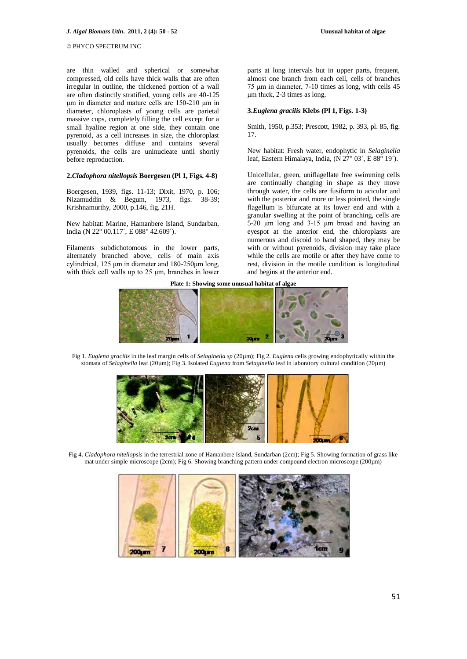# © PHYCO SPECTRUM INC

are thin walled and spherical or somewhat compressed, old cells have thick walls that are often irregular in outline, the thickened portion of a wall are often distinctly stratified, young cells are 40-125 μm in diameter and mature cells are 150-210 μm in diameter, chloroplasts of young cells are parietal massive cups, completely filling the cell except for a small hyaline region at one side, they contain one pyrenoid, as a cell increases in size, the chloroplast usually becomes diffuse and contains several pyrenoids, the cells are uninucleate until shortly before reproduction.

# **2.***Cladophora nitellopsis* **Boergesen (Pl 1, Figs. 4-8)**

Boergesen, 1939, figs. 11-13; Dixit, 1970, p. 106; Nizamuddin & Begum, 1973, figs. 38-39; Krishnamurthy, 2000, p.146, fig. 21H.

New habitat: Marine, Hamanbere Island, Sundarban, India (N 22° 00.117´, E 088° 42.609´).

Filaments subdichotomous in the lower parts, alternately branched above, cells of main axis cylindrical, 125 μm in diameter and 180-250μm long, with thick cell walls up to 25 μm, branches in lower

parts at long intervals but in upper parts, frequent, almost one branch from each cell, cells of branches 75 μm in diameter, 7-10 times as long, with cells 45 μm thick, 2-3 times as long.

# **3.***Euglena gracilis* **Klebs (Pl 1, Figs. 1-3)**

Smith, 1950, p.353; Prescott, 1982, p. 393, pl. 85, fig. 17.

New habitat: Fresh water, endophytic in *Selaginella*  leaf, Eastern Himalaya, India,  $(N 27^{\circ} 03^{\circ}, E 88^{\circ} 19^{\circ})$ .

Unicellular, green, uniflagellate free swimming cells are continually changing in shape as they move through water, the cells are fusiform to acicular and with the posterior and more or less pointed, the single flagellum is bifurcate at its lower end and with a granular swelling at the point of branching, cells are 5-20 μm long and 3-15 μm broad and having an eyespot at the anterior end, the chloroplasts are numerous and discoid to band shaped, they may be with or without pyrenoids, division may take place while the cells are motile or after they have come to rest, division in the motile condition is longitudinal and begins at the anterior end.

**Plate 1: Showing some unusual habitat of algae**



Fig 1. *Euglena gracilis* in the leaf margin cells of *Selaginella sp* (20µm); Fig 2*. Euglena* cells growing endophytically within the stomata of *Selaginella* leaf (20µm); Fig 3. Isolated *Euglena* from *Selaginella* leaf in laboratory cultural condition (20µm)



Fig 4. *Cladophora nitellopsis* in the terrestrial zone of Hamanbere Island, Sundarban (2cm); Fig 5. Showing formation of grass like mat under simple microscope (2cm); Fig 6. Showing branching pattern under compound electron microscope (200µm)